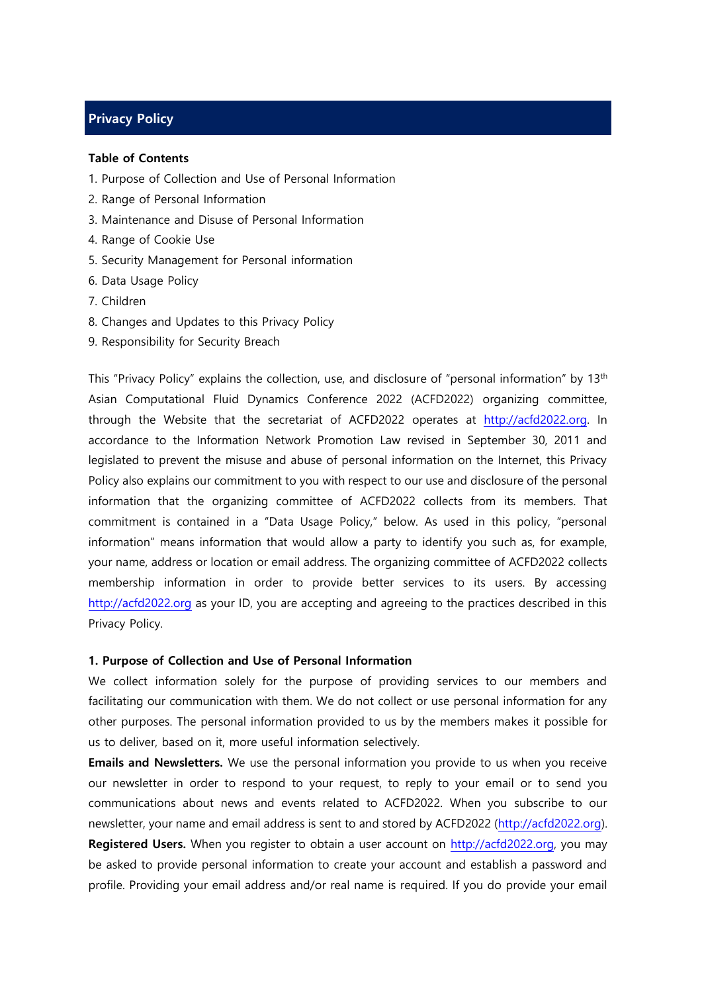# **Privacy Policy**

#### **Table of Contents**

- 1. Purpose of Collection and Use of Personal Information
- 2. Range of Personal Information
- 3. Maintenance and Disuse of Personal Information
- 4. Range of Cookie Use
- 5. Security Management for Personal information
- 6. Data Usage Policy
- 7. Children
- 8. Changes and Updates to this Privacy Policy
- 9. Responsibility for Security Breach

This "Privacy Policy" explains the collection, use, and disclosure of "personal information" by 13<sup>th</sup> Asian Computational Fluid Dynamics Conference 2022 (ACFD2022) organizing committee, through the Website that the secretariat of ACFD2022 operates at [http://acfd2022.org.](http://acfd2022.org/) In accordance to the Information Network Promotion Law revised in September 30, 2011 and legislated to prevent the misuse and abuse of personal information on the Internet, this Privacy Policy also explains our commitment to you with respect to our use and disclosure of the personal information that the organizing committee of ACFD2022 collects from its members. That commitment is contained in a "Data Usage Policy," below. As used in this policy, "personal information" means information that would allow a party to identify you such as, for example, your name, address or location or email address. The organizing committee of ACFD2022 collects membership information in order to provide better services to its users. By accessing [http://acfd2022.org](http://acfd2022.org/) as your ID, you are accepting and agreeing to the practices described in this Privacy Policy.

## **1. Purpose of Collection and Use of Personal Information**

We collect information solely for the purpose of providing services to our members and facilitating our communication with them. We do not collect or use personal information for any other purposes. The personal information provided to us by the members makes it possible for us to deliver, based on it, more useful information selectively.

**Emails and Newsletters.** We use the personal information you provide to us when you receive our newsletter in order to respond to your request, to reply to your email or to send you communications about news and events related to ACFD2022. When you subscribe to our newsletter, your name and email address is sent to and stored by ACFD2022 [\(http://acfd2022.org\)](http://acfd2022.org/). Registered Users. When you register to obtain a user account on [http://acfd2022.org,](http://acfd2022.org/) you may be asked to provide personal information to create your account and establish a password and profile. Providing your email address and/or real name is required. If you do provide your email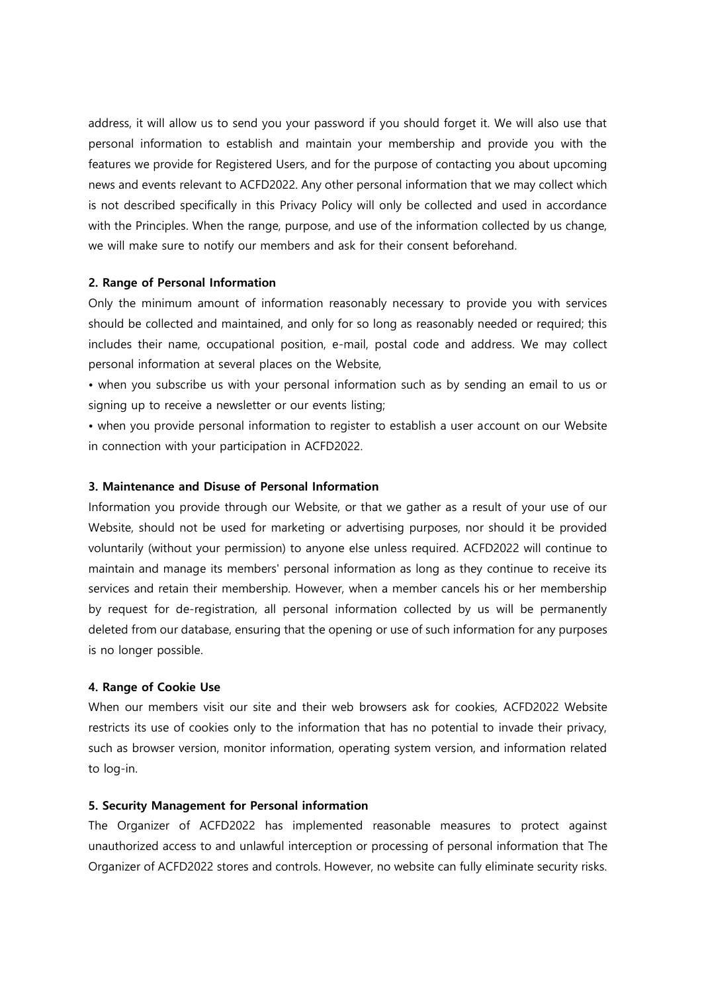address, it will allow us to send you your password if you should forget it. We will also use that personal information to establish and maintain your membership and provide you with the features we provide for Registered Users, and for the purpose of contacting you about upcoming news and events relevant to ACFD2022. Any other personal information that we may collect which is not described specifically in this Privacy Policy will only be collected and used in accordance with the Principles. When the range, purpose, and use of the information collected by us change, we will make sure to notify our members and ask for their consent beforehand.

### **2. Range of Personal Information**

Only the minimum amount of information reasonably necessary to provide you with services should be collected and maintained, and only for so long as reasonably needed or required; this includes their name, occupational position, e-mail, postal code and address. We may collect personal information at several places on the Website,

• when you subscribe us with your personal information such as by sending an email to us or signing up to receive a newsletter or our events listing;

• when you provide personal information to register to establish a user account on our Website in connection with your participation in ACFD2022.

# **3. Maintenance and Disuse of Personal Information**

Information you provide through our Website, or that we gather as a result of your use of our Website, should not be used for marketing or advertising purposes, nor should it be provided voluntarily (without your permission) to anyone else unless required. ACFD2022 will continue to maintain and manage its members' personal information as long as they continue to receive its services and retain their membership. However, when a member cancels his or her membership by request for de-registration, all personal information collected by us will be permanently deleted from our database, ensuring that the opening or use of such information for any purposes is no longer possible.

#### **4. Range of Cookie Use**

When our members visit our site and their web browsers ask for cookies, ACFD2022 Website restricts its use of cookies only to the information that has no potential to invade their privacy, such as browser version, monitor information, operating system version, and information related to log-in.

# **5. Security Management for Personal information**

The Organizer of ACFD2022 has implemented reasonable measures to protect against unauthorized access to and unlawful interception or processing of personal information that The Organizer of ACFD2022 stores and controls. However, no website can fully eliminate security risks.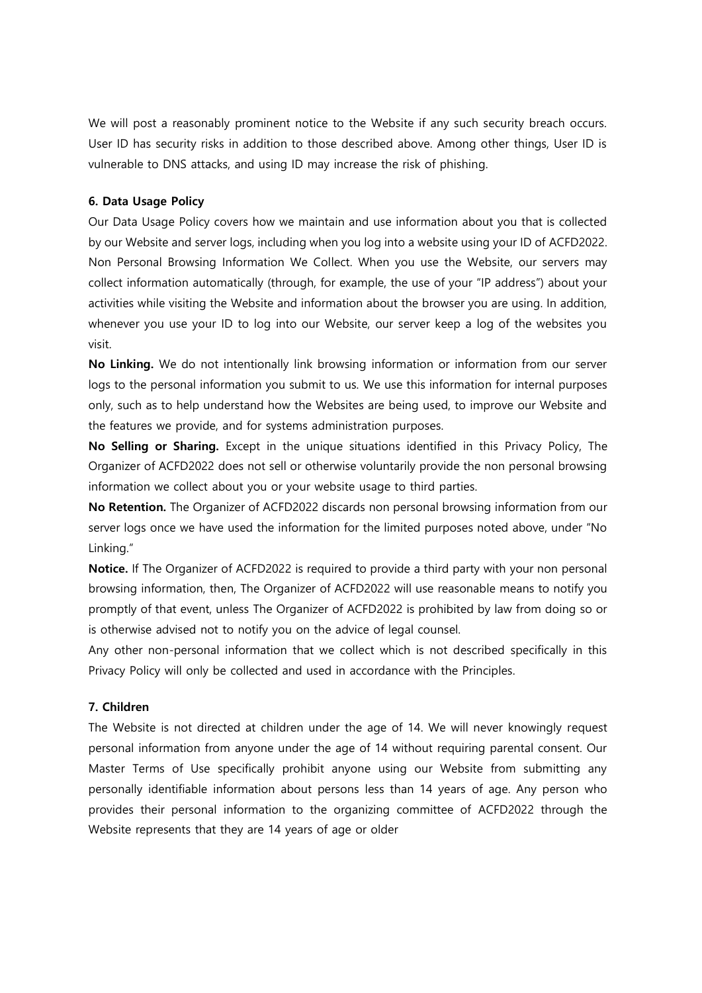We will post a reasonably prominent notice to the Website if any such security breach occurs. User ID has security risks in addition to those described above. Among other things, User ID is vulnerable to DNS attacks, and using ID may increase the risk of phishing.

# **6. Data Usage Policy**

Our Data Usage Policy covers how we maintain and use information about you that is collected by our Website and server logs, including when you log into a website using your ID of ACFD2022. Non Personal Browsing Information We Collect. When you use the Website, our servers may collect information automatically (through, for example, the use of your "IP address") about your activities while visiting the Website and information about the browser you are using. In addition, whenever you use your ID to log into our Website, our server keep a log of the websites you visit.

**No Linking.** We do not intentionally link browsing information or information from our server logs to the personal information you submit to us. We use this information for internal purposes only, such as to help understand how the Websites are being used, to improve our Website and the features we provide, and for systems administration purposes.

**No Selling or Sharing.** Except in the unique situations identified in this Privacy Policy, The Organizer of ACFD2022 does not sell or otherwise voluntarily provide the non personal browsing information we collect about you or your website usage to third parties.

**No Retention.** The Organizer of ACFD2022 discards non personal browsing information from our server logs once we have used the information for the limited purposes noted above, under "No Linking."

**Notice.** If The Organizer of ACFD2022 is required to provide a third party with your non personal browsing information, then, The Organizer of ACFD2022 will use reasonable means to notify you promptly of that event, unless The Organizer of ACFD2022 is prohibited by law from doing so or is otherwise advised not to notify you on the advice of legal counsel.

Any other non-personal information that we collect which is not described specifically in this Privacy Policy will only be collected and used in accordance with the Principles.

# **7. Children**

The Website is not directed at children under the age of 14. We will never knowingly request personal information from anyone under the age of 14 without requiring parental consent. Our Master Terms of Use specifically prohibit anyone using our Website from submitting any personally identifiable information about persons less than 14 years of age. Any person who provides their personal information to the organizing committee of ACFD2022 through the Website represents that they are 14 years of age or older